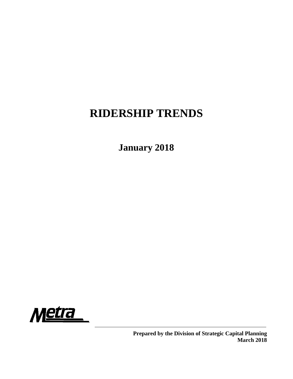# **RIDERSHIP TRENDS**

**January 2018**

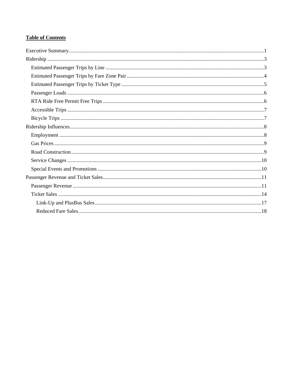## **Table of Contents**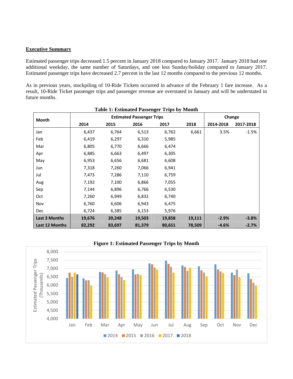#### **Executive Summary**

Estimated passenger trips decreased 1.5 percent in January 2018 compared to January 2017. January 2018 had one additional weekday, the same number of Saturdays, and one less Sunday/holiday compared to January 2017. Estimated passenger trips have decreased 2.7 percent in the last 12 months compared to the previous 12 months.

As in previous years, stockpiling of 10-Ride Tickets occurred in advance of the February 1 fare increase. As a result, 10-Ride Ticket passenger trips and passenger revenue are overstated in January and will be understated in future months.

| Month                |        |        | <b>Estimated Passenger Trips</b> |        |        | Change    |           |  |
|----------------------|--------|--------|----------------------------------|--------|--------|-----------|-----------|--|
|                      | 2014   | 2015   | 2016                             | 2017   | 2018   | 2014-2018 | 2017-2018 |  |
| Jan                  | 6,437  | 6,764  | 6,513                            | 6,762  | 6,661  | 3.5%      | $-1.5%$   |  |
| Feb                  | 6,419  | 6,297  | 6,310                            | 5,985  |        |           |           |  |
| Mar                  | 6,805  | 6,770  | 6,666                            | 6,474  |        |           |           |  |
| Apr                  | 6,885  | 6,663  | 6,497                            | 6,305  |        |           |           |  |
| May                  | 6,953  | 6,656  | 6,681                            | 6,608  |        |           |           |  |
| Jun                  | 7,318  | 7,260  | 7,066                            | 6,941  |        |           |           |  |
| Jul                  | 7,473  | 7,286  | 7,110                            | 6,759  |        |           |           |  |
| Aug                  | 7,192  | 7,100  | 6,866                            | 7,055  |        |           |           |  |
| Sep                  | 7,144  | 6,896  | 6,766                            | 6,530  |        |           |           |  |
| Oct                  | 7,260  | 6,949  | 6,832                            | 6,740  |        |           |           |  |
| Nov                  | 6,760  | 6,606  | 6,943                            | 6,475  |        |           |           |  |
| <b>Dec</b>           | 6,724  | 6,385  | 6,153                            | 5,976  |        |           |           |  |
| <b>Last 3 Months</b> | 19,676 | 20,248 | 19,503                           | 19,858 | 19,111 | $-2.9%$   | $-3.8%$   |  |
| Last 12 Months       | 82,292 | 83,697 | 81,379                           | 80,651 | 78,509 | $-4.6%$   | $-2.7%$   |  |

## **Table 1: Estimated Passenger Trips by Month**

**Figure 1: Estimated Passenger Trips by Month** 

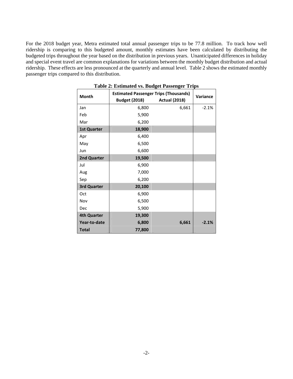For the 2018 budget year, Metra estimated total annual passenger trips to be 77.8 million. To track how well ridership is comparing to this budgeted amount, monthly estimates have been calculated by distributing the budgeted trips throughout the year based on the distribution in previous years. Unanticipated differences in holiday and special event travel are common explanations for variations between the monthly budget distribution and actual ridership. These effects are less pronounced at the quarterly and annual level. Table 2 shows the estimated monthly passenger trips compared to this distribution.

| Month              | <b>Estimated Passenger Trips (Thousands)</b><br><b>Budget (2018)</b> | <b>Actual (2018)</b> | Variance |
|--------------------|----------------------------------------------------------------------|----------------------|----------|
| Jan                | 6,800                                                                | 6,661                | $-2.1%$  |
| Feb                | 5,900                                                                |                      |          |
| Mar                | 6,200                                                                |                      |          |
| <b>1st Quarter</b> | 18,900                                                               |                      |          |
| Apr                | 6,400                                                                |                      |          |
| May                | 6,500                                                                |                      |          |
| Jun                | 6,600                                                                |                      |          |
| 2nd Quarter        | 19,500                                                               |                      |          |
| Jul                | 6,900                                                                |                      |          |
| Aug                | 7,000                                                                |                      |          |
| Sep                | 6,200                                                                |                      |          |
| 3rd Quarter        | 20,100                                                               |                      |          |
| Oct                | 6,900                                                                |                      |          |
| Nov                | 6,500                                                                |                      |          |
| Dec                | 5,900                                                                |                      |          |
| <b>4th Quarter</b> | 19,300                                                               |                      |          |
| Year-to-date       | 6,800                                                                | 6,661                | $-2.1%$  |
| <b>Total</b>       | 77,800                                                               |                      |          |

**Table 2: Estimated vs. Budget Passenger Trips**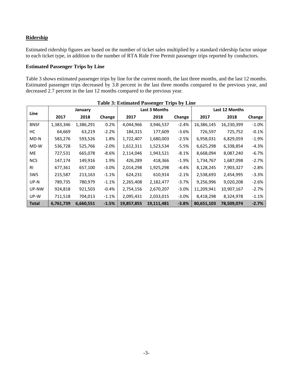## **Ridership**

Estimated ridership figures are based on the number of ticket sales multiplied by a standard ridership factor unique to each ticket type, in addition to the number of RTA Ride Free Permit passenger trips reported by conductors.

## **Estimated Passenger Trips by Line**

Table 3 shows estimated passenger trips by line for the current month, the last three months, and the last 12 months. Estimated passenger trips decreased by 3.8 percent in the last three months compared to the previous year, and decreased 2.7 percent in the last 12 months compared to the previous year.

| Table 5. Estimated I assenger Trips by Ellie |           |           |          |            |               |         |            |                       |          |  |  |
|----------------------------------------------|-----------|-----------|----------|------------|---------------|---------|------------|-----------------------|----------|--|--|
|                                              |           | January   |          |            | Last 3 Months |         |            | <b>Last 12 Months</b> |          |  |  |
| Line                                         | 2017      | 2018      | Change   | 2017       | 2018          | Change  | 2017       | 2018                  | Change   |  |  |
| <b>BNSF</b>                                  | 1,383,346 | 1,386,291 | 0.2%     | 4,044,966  | 3,946,537     | $-2.4%$ | 16,386,145 | 16,230,399            | $-1.0%$  |  |  |
| НC                                           | 64,669    | 63,219    | $-2.2\%$ | 184,315    | 177,609       | $-3.6%$ | 726,597    | 725,752               | $-0.1\%$ |  |  |
| MD-N                                         | 583,276   | 593,526   | 1.8%     | 1,722,407  | 1,680,003     | $-2.5%$ | 6,958,031  | 6,829,059             | $-1.9%$  |  |  |
| MD-W                                         | 536,728   | 525,766   | $-2.0%$  | 1,612,311  | 1,523,534     | $-5.5%$ | 6,625,298  | 6,338,854             | $-4.3%$  |  |  |
| <b>ME</b>                                    | 727,531   | 665,078   | -8.6%    | 2,114,046  | 1,943,521     | $-8.1%$ | 8,668,094  | 8,087,240             | $-6.7%$  |  |  |
| <b>NCS</b>                                   | 147,174   | 149,916   | 1.9%     | 426,289    | 418,366       | $-1.9%$ | 1,734,767  | 1,687,098             | $-2.7%$  |  |  |
| <b>RI</b>                                    | 677,361   | 657,100   | $-3.0%$  | 2,014,298  | 1,925,298     | $-4.4%$ | 8,128,245  | 7,903,327             | $-2.8%$  |  |  |
| <b>SWS</b>                                   | 215,587   | 213,163   | $-1.1\%$ | 624,231    | 610,914       | $-2.1%$ | 2,538,693  | 2,454,995             | $-3.3%$  |  |  |
| UP-N                                         | 789,735   | 780,979   | $-1.1\%$ | 2,265,408  | 2,182,477     | $-3.7%$ | 9,256,996  | 9,020,208             | $-2.6%$  |  |  |
| UP-NW                                        | 924,818   | 921,503   | $-0.4%$  | 2,754,156  | 2,670,207     | $-3.0%$ | 11,209,941 | 10,907,167            | $-2.7%$  |  |  |
| UP-W                                         | 711,518   | 704,013   | $-1.1%$  | 2,095,431  | 2,033,015     | $-3.0%$ | 8,418,298  | 8,324,978             | $-1.1%$  |  |  |
| <b>Total</b>                                 | 6,761,739 | 6,660,551 | $-1.5%$  | 19,857,855 | 19,111,481    | $-3.8%$ | 80,651,103 | 78,509,074            | $-2.7%$  |  |  |

#### **Table 3: Estimated Passenger Trips by Line**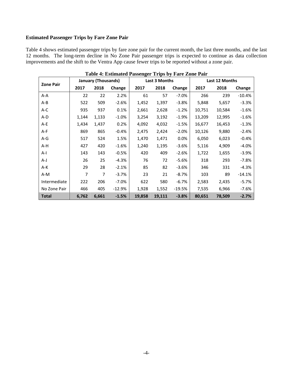## **Estimated Passenger Trips by Fare Zone Pair**

Table 4 shows estimated passenger trips by fare zone pair for the current month, the last three months, and the last 12 months. The long-term decline in No Zone Pair passenger trips is expected to continue as data collection improvements and the shift to the Ventra App cause fewer trips to be reported without a zone pair.

| <b>Zone Pair</b> |       | <b>January (Thousands)</b> |          |        | Last 3 Months |          |        | Last 12 Months |          |
|------------------|-------|----------------------------|----------|--------|---------------|----------|--------|----------------|----------|
|                  | 2017  | 2018                       | Change   | 2017   | 2018          | Change   | 2017   | 2018           | Change   |
| $A-A$            | 22    | 22                         | 2.2%     | 61     | 57            | $-7.0%$  | 266    | 239            | $-10.4%$ |
| $A - B$          | 522   | 509                        | $-2.6%$  | 1,452  | 1,397         | $-3.8%$  | 5,848  | 5,657          | $-3.3%$  |
| A-C              | 935   | 937                        | 0.1%     | 2,661  | 2,628         | $-1.2%$  | 10,751 | 10,584         | $-1.6%$  |
| A-D              | 1,144 | 1,133                      | $-1.0%$  | 3,254  | 3,192         | $-1.9%$  | 13,209 | 12,995         | $-1.6%$  |
| $A-E$            | 1,434 | 1,437                      | 0.2%     | 4,092  | 4,032         | $-1.5%$  | 16,677 | 16,453         | $-1.3%$  |
| $A-F$            | 869   | 865                        | $-0.4%$  | 2,475  | 2,424         | $-2.0%$  | 10,126 | 9,880          | $-2.4%$  |
| $A-G$            | 517   | 524                        | 1.5%     | 1,470  | 1,471         | 0.0%     | 6,050  | 6,023          | $-0.4%$  |
| $A-H$            | 427   | 420                        | $-1.6%$  | 1,240  | 1,195         | $-3.6%$  | 5,116  | 4,909          | $-4.0%$  |
| $A-I$            | 143   | 143                        | $-0.5%$  | 420    | 409           | $-2.6%$  | 1,722  | 1,655          | $-3.9%$  |
| $A-J$            | 26    | 25                         | $-4.3%$  | 76     | 72            | $-5.6%$  | 318    | 293            | $-7.8%$  |
| $A-K$            | 29    | 28                         | $-2.1%$  | 85     | 82            | $-3.6%$  | 346    | 331            | $-4.3%$  |
| $A-M$            | 7     | $\overline{7}$             | $-3.7%$  | 23     | 21            | $-8.7%$  | 103    | 89             | $-14.1%$ |
| Intermediate     | 222   | 206                        | $-7.0%$  | 622    | 580           | $-6.7%$  | 2,583  | 2,435          | $-5.7%$  |
| No Zone Pair     | 466   | 405                        | $-12.9%$ | 1,928  | 1,552         | $-19.5%$ | 7,535  | 6,966          | -7.6%    |
| <b>Total</b>     | 6,762 | 6,661                      | $-1.5%$  | 19,858 | 19,111        | $-3.8%$  | 80,651 | 78,509         | $-2.7%$  |

**Table 4: Estimated Passenger Trips by Fare Zone Pair**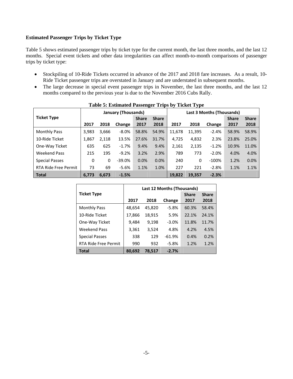## **Estimated Passenger Trips by Ticket Type**

Table 5 shows estimated passenger trips by ticket type for the current month, the last three months, and the last 12 months. Special event tickets and other data irregularities can affect month-to-month comparisons of passenger trips by ticket type:

- Stockpiling of 10-Ride Tickets occurred in advance of the 2017 and 2018 fare increases. As a result, 10- Ride Ticket passenger trips are overstated in January and are understated in subsequent months.
- The large decrease in special event passenger trips in November, the last three months, and the last 12 months compared to the previous year is due to the November 2016 Cubs Rally.

|                       |       |       | <b>January (Thousands)</b> |              |              | <b>Last 3 Months (Thousands)</b> |        |         |              |              |  |
|-----------------------|-------|-------|----------------------------|--------------|--------------|----------------------------------|--------|---------|--------------|--------------|--|
| <b>Ticket Type</b>    |       |       |                            | <b>Share</b> | <b>Share</b> |                                  |        |         | <b>Share</b> | <b>Share</b> |  |
|                       | 2017  | 2018  | Change                     | 2017         | 2018         | 2017                             | 2018   | Change  | 2017         | 2018         |  |
| <b>Monthly Pass</b>   | 3,983 | 3,666 | $-8.0%$                    | 58.8%        | 54.9%        | 11,678                           | 11,395 | $-2.4%$ | 58.9%        | 58.9%        |  |
| 10-Ride Ticket        | 1,867 | 2,118 | 13.5%                      | 27.6%        | 31.7%        | 4,725                            | 4,832  | 2.3%    | 23.8%        | 25.0%        |  |
| One-Way Ticket        | 635   | 625   | $-1.7%$                    | 9.4%         | 9.4%         | 2,161                            | 2,135  | $-1.2%$ | 10.9%        | 11.0%        |  |
| <b>Weekend Pass</b>   | 215   | 195   | $-9.2%$                    | 3.2%         | 2.9%         | 789                              | 773    | $-2.0%$ | 4.0%         | 4.0%         |  |
| <b>Special Passes</b> | 0     | 0     | $-39.0%$                   | 0.0%         | 0.0%         | 240                              | 0      | $-100%$ | 1.2%         | 0.0%         |  |
| RTA Ride Free Permit  | 73    | 69    | $-5.6%$                    | 1.1%         | 1.0%         | 227                              | 221    | $-2.8%$ | 1.1%         | 1.1%         |  |
| <b>Total</b>          | 6.773 | 6,673 | $-1.5%$                    |              |              | 19,822                           | 19,357 | $-2.3%$ |              |              |  |

|                       | Last 12 Months (Thousands) |        |          |              |              |  |  |  |  |
|-----------------------|----------------------------|--------|----------|--------------|--------------|--|--|--|--|
| <b>Ticket Type</b>    |                            |        |          | <b>Share</b> | <b>Share</b> |  |  |  |  |
|                       | 2017                       | 2018   | Change   | 2017         | 2018         |  |  |  |  |
| <b>Monthly Pass</b>   | 48,654                     | 45.820 | $-5.8%$  | 60.3%        | 58.4%        |  |  |  |  |
| 10-Ride Ticket        | 17,866                     | 18,915 | 5.9%     | 22.1%        | 24.1%        |  |  |  |  |
| One-Way Ticket        | 9,484                      | 9,198  | $-3.0%$  | 11.8%        | 11.7%        |  |  |  |  |
| <b>Weekend Pass</b>   | 3,361                      | 3,524  | 4.8%     | 4.2%         | 4.5%         |  |  |  |  |
| <b>Special Passes</b> | 338                        | 129    | $-61.9%$ | 0.4%         | 0.2%         |  |  |  |  |
| RTA Ride Free Permit  | 990                        | 932    | $-5.8%$  | 1.2%         | 1.2%         |  |  |  |  |
| <b>Total</b>          | 80,692                     | 78.517 | $-2.7%$  |              |              |  |  |  |  |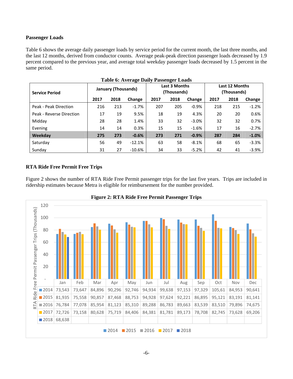## **Passenger Loads**

Table 6 shows the average daily passenger loads by service period for the current month, the last three months, and the last 12 months, derived from conductor counts. Average peak-peak direction passenger loads decreased by 1.9 percent compared to the previous year, and average total weekday passenger loads decreased by 1.5 percent in the same period.

| <b>Service Period</b>    | <b>January (Thousands)</b> |      |           |      | o<br>Last 3 Months<br>(Thousands) |         | Last 12 Months<br>(Thousands) |      |         |
|--------------------------|----------------------------|------|-----------|------|-----------------------------------|---------|-------------------------------|------|---------|
|                          | 2017                       | 2018 | Change    | 2017 | 2018                              | Change  | 2017                          | 2018 | Change  |
| Peak - Peak Direction    | 216                        | 213  | $-1.7%$   | 207  | 205                               | $-0.9%$ | 218                           | 215  | $-1.2%$ |
| Peak - Reverse Direction | 17                         | 19   | 9.5%      | 18   | 19                                | 4.3%    | 20                            | 20   | 0.6%    |
| Midday                   | 28                         | 28   | 1.4%      | 33   | 32                                | $-3.0%$ | 32                            | 32   | 0.7%    |
| Evening                  | 14                         | 14   | 0.3%      | 15   | 15                                | $-1.6%$ | 17                            | 16   | $-2.7%$ |
| Weekday                  | 275                        | 273  | $-0.6%$   | 273  | 271                               | $-0.9%$ | 287                           | 284  | $-1.0%$ |
| Saturday                 | 56                         | 49   | $-12.1%$  | 63   | 58                                | $-8.1%$ | 68                            | 65   | $-3.3%$ |
| Sunday                   | 31                         | 27   | $-10.6\%$ | 34   | 33                                | $-5.2%$ | 42                            | 41   | $-3.9%$ |

## **Table 6: Average Daily Passenger Loads**

## **RTA Ride Free Permit Free Trips**

Figure 2 shows the number of RTA Ride Free Permit passenger trips for the last five years. Trips are included in ridership estimates because Metra is eligible for reimbursement for the number provided.



## **Figure 2: RTA Ride Free Permit Passenger Trips**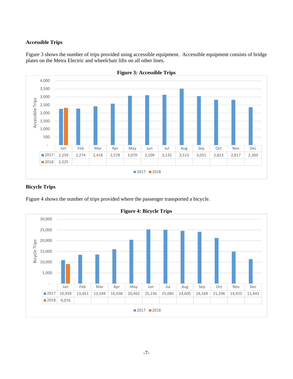## **Accessible Trips**

Figure 3 shows the number of trips provided using accessible equipment. Accessible equipment consists of bridge plates on the Metra Electric and wheelchair lifts on all other lines.





## **Bicycle Trips**

Figure 4 shows the number of trips provided where the passenger transported a bicycle.



**Figure 4: Bicycle Trips**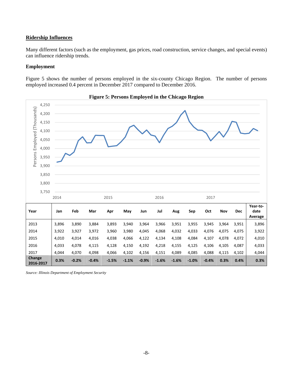#### **Ridership Influences**

Many different factors (such as the employment, gas prices, road construction, service changes, and special events) can influence ridership trends.

#### **Employment**

Figure 5 shows the number of persons employed in the six-county Chicago Region. The number of persons employed increased 0.4 percent in December 2017 compared to December 2016.





*Source: Illinois Department of Employment Security*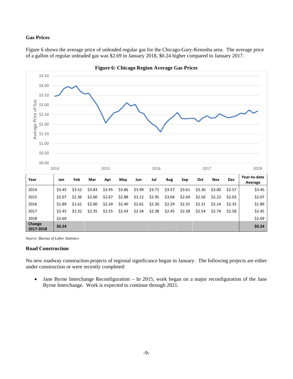## **Gas Prices**

Figure 6 shows the average price of unleaded regular gas for the Chicago-Gary-Kenosha area. The average price of a gallon of regular unleaded gas was \$2.69 in January 2018, \$0.24 higher compared to January 2017.



**Figure 6: Chicago Region Average Gas Prices** 

*Source: Bureau of Labor Statistics* 

## **Road Construction**

No new roadway construction projects of regional significance began in January. The following projects are either under construction or were recently completed:

• Jane Byrne Interchange Reconfiguration – In 2015, work began on a major reconfiguration of the Jane Byrne Interchange. Work is expected to continue through 2021.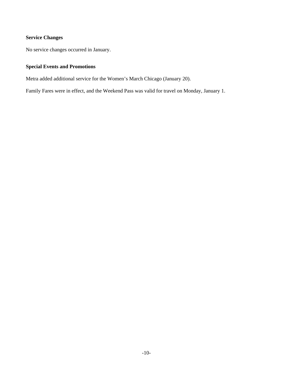## **Service Changes**

No service changes occurred in January.

## **Special Events and Promotions**

Metra added additional service for the Women's March Chicago (January 20).

Family Fares were in effect, and the Weekend Pass was valid for travel on Monday, January 1.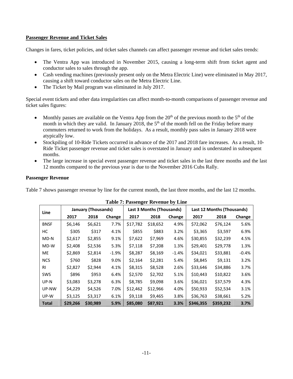## **Passenger Revenue and Ticket Sales**

Changes in fares, ticket policies, and ticket sales channels can affect passenger revenue and ticket sales trends:

- The Ventra App was introduced in November 2015, causing a long-term shift from ticket agent and conductor sales to sales through the app.
- Cash vending machines (previously present only on the Metra Electric Line) were eliminated in May 2017, causing a shift toward conductor sales on the Metra Electric Line.
- The Ticket by Mail program was eliminated in July 2017.

Special event tickets and other data irregularities can affect month-to-month comparisons of passenger revenue and ticket sales figures:

- Monthly passes are available on the Ventra App from the  $20<sup>th</sup>$  of the previous month to the  $5<sup>th</sup>$  of the month in which they are valid. In January 2018, the  $5<sup>th</sup>$  of the month fell on the Friday before many commuters returned to work from the holidays. As a result, monthly pass sales in January 2018 were atypically low.
- Stockpiling of 10-Ride Tickets occurred in advance of the 2017 and 2018 fare increases. As a result, 10- Ride Ticket passenger revenue and ticket sales is overstated in January and is understated in subsequent months.
- The large increase in special event passenger revenue and ticket sales in the last three months and the last 12 months compared to the previous year is due to the November 2016 Cubs Rally.

## **Passenger Revenue**

Table 7 shows passenger revenue by line for the current month, the last three months, and the last 12 months.

| Table 7. I assenger incremed by Ellie |          |                            |         |          |                                  |         |           |                            |         |  |  |
|---------------------------------------|----------|----------------------------|---------|----------|----------------------------------|---------|-----------|----------------------------|---------|--|--|
| Line                                  |          | <b>January (Thousands)</b> |         |          | <b>Last 3 Months (Thousands)</b> |         |           | Last 12 Months (Thousands) |         |  |  |
|                                       | 2017     | 2018                       | Change  | 2017     | 2018                             | Change  | 2017      | 2018                       | Change  |  |  |
| <b>BNSF</b>                           | \$6,146  | \$6,621                    | 7.7%    | \$17,782 | \$18,652                         | 4.9%    | \$72,062  | \$76,124                   | 5.6%    |  |  |
| НC                                    | \$305    | \$317                      | 4.1%    | \$855    | \$883                            | 3.2%    | \$3,365   | \$3,597                    | 6.9%    |  |  |
| MD-N                                  | \$2,617  | \$2,855                    | 9.1%    | \$7,622  | \$7,969                          | 4.6%    | \$30,855  | \$32,239                   | 4.5%    |  |  |
| MD-W                                  | \$2,408  | \$2,536                    | 5.3%    | \$7,118  | \$7,208                          | 1.3%    | \$29,401  | \$29,778                   | 1.3%    |  |  |
| <b>ME</b>                             | \$2,869  | \$2,814                    | $-1.9%$ | \$8,287  | \$8,169                          | $-1.4%$ | \$34,021  | \$33,881                   | $-0.4%$ |  |  |
| <b>NCS</b>                            | \$760    | \$828                      | 9.0%    | \$2,164  | \$2,281                          | 5.4%    | \$8,845   | \$9,131                    | 3.2%    |  |  |
| <b>RI</b>                             | \$2,827  | \$2,944                    | 4.1%    | \$8,315  | \$8,528                          | 2.6%    | \$33,646  | \$34,886                   | 3.7%    |  |  |
| <b>SWS</b>                            | \$896    | \$953                      | 6.4%    | \$2,570  | \$2,702                          | 5.1%    | \$10,443  | \$10,822                   | 3.6%    |  |  |
| UP-N                                  | \$3,083  | \$3,278                    | 6.3%    | \$8,785  | \$9,098                          | 3.6%    | \$36,021  | \$37,579                   | 4.3%    |  |  |
| UP-NW                                 | \$4,229  | \$4,526                    | 7.0%    | \$12,462 | \$12,966                         | 4.0%    | \$50,933  | \$52,534                   | 3.1%    |  |  |
| UP-W                                  | \$3,125  | \$3,317                    | 6.1%    | \$9,118  | \$9,465                          | 3.8%    | \$36,763  | \$38,661                   | 5.2%    |  |  |
| <b>Total</b>                          | \$29,266 | \$30,989                   | 5.9%    | \$85,080 | \$87,921                         | 3.3%    | \$346,355 | \$359,232                  | 3.7%    |  |  |

| <b>Table 7: Passenger Revenue by Line</b> |  |
|-------------------------------------------|--|
|-------------------------------------------|--|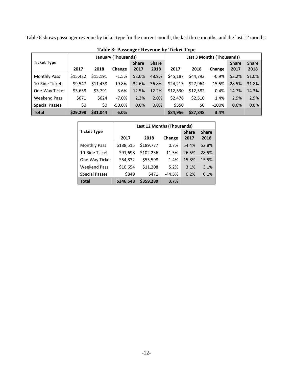Table 8 shows passenger revenue by ticket type for the current month, the last three months, and the last 12 months.

|                       |          |          | Table 6. I assenger incremed by Ticket Type<br><b>January (Thousands)</b> |              | <b>Last 3 Months (Thousands)</b> |          |          |          |              |              |
|-----------------------|----------|----------|---------------------------------------------------------------------------|--------------|----------------------------------|----------|----------|----------|--------------|--------------|
| <b>Ticket Type</b>    |          |          |                                                                           | <b>Share</b> | <b>Share</b>                     |          |          |          | <b>Share</b> | <b>Share</b> |
|                       | 2017     | 2018     | Change                                                                    | 2017         | 2018                             | 2017     | 2018     | Change   | 2017         | 2018         |
| <b>Monthly Pass</b>   | \$15,422 | \$15,191 | $-1.5%$                                                                   | 52.6%        | 48.9%                            | \$45,187 | \$44,793 | $-0.9%$  | 53.2%        | 51.0%        |
| 10-Ride Ticket        | \$9,547  | \$11,438 | 19.8%                                                                     | 32.6%        | 36.8%                            | \$24.213 | \$27,964 | 15.5%    | 28.5%        | 31.8%        |
| One-Way Ticket        | \$3,658  | \$3,791  | 3.6%                                                                      | 12.5%        | 12.2%                            | \$12,530 | \$12,582 | 0.4%     | 14.7%        | 14.3%        |
| Weekend Pass          | \$671    | \$624    | $-7.0%$                                                                   | 2.3%         | 2.0%                             | \$2,476  | \$2,510  | 1.4%     | 2.9%         | 2.9%         |
| <b>Special Passes</b> | \$0      | \$0      | $-50.0\%$                                                                 | 0.0%         | 0.0%                             | \$550    | \$0      | $-100\%$ | 0.6%         | 0.0%         |
| <b>Total</b>          | \$29,298 | \$31.044 | 6.0%                                                                      |              |                                  | \$84,956 | \$87.848 | 3.4%     |              |              |

**Table 8: Passenger Revenue by Ticket Type** 

|                       | Last 12 Months (Thousands) |           |          |              |              |  |  |  |  |
|-----------------------|----------------------------|-----------|----------|--------------|--------------|--|--|--|--|
| <b>Ticket Type</b>    |                            |           |          | <b>Share</b> | <b>Share</b> |  |  |  |  |
|                       | 2017                       | 2018      | Change   | 2017         | 2018         |  |  |  |  |
| <b>Monthly Pass</b>   | \$188,515                  | \$189,777 | 0.7%     | 54.4%        | 52.8%        |  |  |  |  |
| 10-Ride Ticket        | \$91,698                   | \$102,236 | 11.5%    | 26.5%        | 28.5%        |  |  |  |  |
| One-Way Ticket        | \$54,832                   | \$55,598  | 1.4%     | 15.8%        | 15.5%        |  |  |  |  |
| <b>Weekend Pass</b>   | \$10,654                   | \$11,208  | 5.2%     | 3.1%         | 3.1%         |  |  |  |  |
| <b>Special Passes</b> | \$849                      | \$471     | $-44.5%$ | 0.2%         | 0.1%         |  |  |  |  |
| <b>Total</b>          | \$346,548                  | \$359,289 | 3.7%     |              |              |  |  |  |  |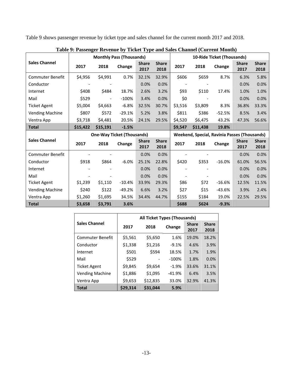Table 9 shows passenger revenue by ticket type and sales channel for the current month 2017 and 2018.

|                         | <b>Monthly Pass (Thousands)</b> | 10-Ride Ticket (Thousands)        |          |                      |                      |         |          |                                                     |                      |                      |
|-------------------------|---------------------------------|-----------------------------------|----------|----------------------|----------------------|---------|----------|-----------------------------------------------------|----------------------|----------------------|
| <b>Sales Channel</b>    | 2017                            | 2018                              | Change   | <b>Share</b><br>2017 | <b>Share</b><br>2018 | 2017    | 2018     | Change                                              | <b>Share</b><br>2017 | <b>Share</b><br>2018 |
| <b>Commuter Benefit</b> | \$4,956                         | \$4,991                           | 0.7%     | 32.1%                | 32.9%                | \$606   | \$659    | 8.7%                                                | 6.3%                 | 5.8%                 |
| Conductor               |                                 |                                   |          | 0.0%                 | 0.0%                 |         |          |                                                     | 0.0%                 | 0.0%                 |
| Internet                | \$408                           | \$484                             | 18.7%    | 2.6%                 | 3.2%                 | \$93    | \$110    | 17.4%                                               | 1.0%                 | 1.0%                 |
| Mail                    | \$529                           |                                   | $-100%$  | 3.4%                 | 0.0%                 | \$0     |          |                                                     | 0.0%                 | 0.0%                 |
| <b>Ticket Agent</b>     | \$5,004                         | \$4,663                           | $-6.8%$  | 32.5%                | 30.7%                | \$3,516 | \$3,809  | 8.3%                                                | 36.8%                | 33.3%                |
| <b>Vending Machine</b>  | \$807                           | \$572                             | $-29.1%$ | 5.2%                 | 3.8%                 | \$811   | \$386    | $-52.5%$                                            | 8.5%                 | 3.4%                 |
| Ventra App              | \$3,718                         | \$4,481                           | 20.5%    | 24.1%                | 29.5%                | \$4,520 | \$6,475  | 43.2%                                               | 47.3%                | 56.6%                |
| <b>Total</b>            | \$15,422                        | \$15,191                          | $-1.5%$  |                      |                      | \$9,547 | \$11,438 | 19.8%                                               |                      |                      |
|                         |                                 |                                   |          |                      |                      |         |          |                                                     |                      |                      |
|                         |                                 | <b>One-Way Ticket (Thousands)</b> |          |                      |                      |         |          | <b>Weekend, Special, Ravinia Passes (Thousands)</b> |                      |                      |
| <b>Sales Channel</b>    | 2017                            | 2018                              | Change   | <b>Share</b><br>2017 | <b>Share</b><br>2018 | 2017    | 2018     | Change                                              | <b>Share</b><br>2017 | <b>Share</b><br>2018 |
| Commuter Benefit        |                                 |                                   |          | 0.0%                 | 0.0%                 |         |          |                                                     | 0.0%                 | 0.0%                 |
| Conductor               | \$918                           | \$864                             | $-6.0%$  | 25.1%                | 22.8%                | \$420   | \$353    | $-16.0%$                                            | 61.0%                | 56.5%                |
| Internet                |                                 |                                   |          | 0.0%                 | 0.0%                 |         |          |                                                     | 0.0%                 | 0.0%                 |
| Mail                    |                                 |                                   |          | 0.0%                 | 0.0%                 |         |          |                                                     | 0.0%                 | 0.0%                 |
| <b>Ticket Agent</b>     | \$1,239                         | \$1,110                           | $-10.4%$ | 33.9%                | 29.3%                | \$86    | \$72     | $-16.6%$                                            | 12.5%                | 11.5%                |
| <b>Vending Machine</b>  | \$240                           | \$122                             | $-49.2%$ | 6.6%                 | 3.2%                 | \$27    | \$15     | $-43.6%$                                            | 3.9%                 | 2.4%                 |
| Ventra App              | \$1,260                         | \$1,695                           | 34.5%    | 34.4%                | 44.7%                | \$155   | \$184    | 19.0%                                               | 22.5%                | 29.5%                |

| Table 9: Passenger Revenue by Ticket Type and Sales Channel (Current Month) |  |
|-----------------------------------------------------------------------------|--|

|                        |          | All Ticket Types (Thousands) |          |                      |                      |  |  |  |  |
|------------------------|----------|------------------------------|----------|----------------------|----------------------|--|--|--|--|
| <b>Sales Channel</b>   | 2017     | 2018                         | Change   | <b>Share</b><br>2017 | <b>Share</b><br>2018 |  |  |  |  |
| Commuter Benefit       | \$5,561  | \$5,650                      | 1.6%     | 19.0%                | 18.2%                |  |  |  |  |
| Conductor              | \$1,338  | \$1,216                      | $-9.1%$  | 4.6%                 | 3.9%                 |  |  |  |  |
| Internet               | \$501    | \$594                        | 18.5%    | 1.7%                 | 1.9%                 |  |  |  |  |
| Mail                   | \$529    |                              | $-100%$  | 1.8%                 | 0.0%                 |  |  |  |  |
| Ticket Agent           | \$9,845  | \$9,654                      | $-1.9%$  | 33.6%                | 31.1%                |  |  |  |  |
| <b>Vending Machine</b> | \$1,886  | \$1,095                      | $-41.9%$ | 6.4%                 | 3.5%                 |  |  |  |  |
| Ventra App             | \$9,653  | \$12,835                     | 33.0%    | 32.9%                | 41.3%                |  |  |  |  |
| <b>Total</b>           | \$29,314 | \$31.044                     | 5.9%     |                      |                      |  |  |  |  |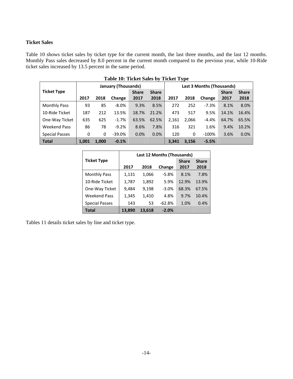## **Ticket Sales**

Table 10 shows ticket sales by ticket type for the current month, the last three months, and the last 12 months. Monthly Pass sales decreased by 8.0 percent in the current month compared to the previous year, while 10-Ride ticket sales increased by 13.5 percent in the same period.

| Table 10: Ticket Sales by Ticket Type |                     |       |          |              |              |       |                           |         |              |              |  |  |
|---------------------------------------|---------------------|-------|----------|--------------|--------------|-------|---------------------------|---------|--------------|--------------|--|--|
|                                       | January (Thousands) |       |          |              |              |       | Last 3 Months (Thousands) |         |              |              |  |  |
| <b>Ticket Type</b>                    |                     |       |          | <b>Share</b> | <b>Share</b> |       |                           |         | <b>Share</b> | <b>Share</b> |  |  |
|                                       | 2017                | 2018  | Change   | 2017         | 2018         | 2017  | 2018                      | Change  | 2017         | 2018         |  |  |
| Monthly Pass                          | 93                  | 85    | $-8.0%$  | 9.3%         | 8.5%         | 272   | 252                       | $-7.3%$ | 8.1%         | 8.0%         |  |  |
| 10-Ride Ticket                        | 187                 | 212   | 13.5%    | 18.7%        | 21.2%        | 473   | 517                       | 9.5%    | 14.1%        | 16.4%        |  |  |
| One-Way Ticket                        | 635                 | 625   | $-1.7%$  | 63.5%        | 62.5%        | 2,161 | 2,066                     | $-4.4%$ | 64.7%        | 65.5%        |  |  |
| <b>Weekend Pass</b>                   | 86                  | 78    | $-9.2%$  | 8.6%         | 7.8%         | 316   | 321                       | 1.6%    | 9.4%         | 10.2%        |  |  |
| <b>Special Passes</b>                 | 0                   | 0     | $-39.0%$ | 0.0%         | 0.0%         | 120   | 0                         | $-100%$ | 3.6%         | 0.0%         |  |  |
| <b>Total</b>                          | 1.001               | 1.000 | $-0.1%$  |              |              | 3.341 | 3.156                     | $-5.5%$ |              |              |  |  |

|                       | <b>Last 12 Months (Thousands)</b> |        |          |              |              |  |  |  |
|-----------------------|-----------------------------------|--------|----------|--------------|--------------|--|--|--|
| <b>Ticket Type</b>    |                                   |        |          | <b>Share</b> | <b>Share</b> |  |  |  |
|                       | 2017                              | 2018   | Change   | 2017         | 2018         |  |  |  |
| <b>Monthly Pass</b>   | 1,131                             | 1,066  | $-5.8%$  | 8.1%         | 7.8%         |  |  |  |
| 10-Ride Ticket        | 1,787                             | 1,892  | 5.9%     | 12.9%        | 13.9%        |  |  |  |
| One-Way Ticket        | 9,484                             | 9,198  | $-3.0%$  | 68.3%        | 67.5%        |  |  |  |
| <b>Weekend Pass</b>   | 1,345                             | 1,410  | 4.8%     | 9.7%         | 10.4%        |  |  |  |
| <b>Special Passes</b> | 143                               | 53     | $-62.8%$ | 1.0%         | 0.4%         |  |  |  |
| Total                 | 13,890                            | 13,618 | $-2.0%$  |              |              |  |  |  |

Tables 11 details ticket sales by line and ticket type.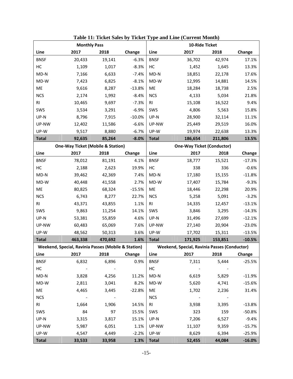|                | <b>Monthly Pass</b>                                 |         |          | 10-Ride Ticket |                                                     |         |          |  |
|----------------|-----------------------------------------------------|---------|----------|----------------|-----------------------------------------------------|---------|----------|--|
| Line           | 2017                                                | 2018    | Change   | Line           | 2017                                                | 2018    | Change   |  |
| <b>BNSF</b>    | 20,433                                              | 19,141  | $-6.3%$  | <b>BNSF</b>    | 36,702                                              | 42,974  | 17.1%    |  |
| HC             | 1,109                                               | 1,017   | $-8.3%$  | HC             | 1,452                                               | 1,645   | 13.3%    |  |
| $MD-N$         | 7,166                                               | 6,633   | $-7.4%$  | MD-N           | 18,851                                              | 22,178  | 17.6%    |  |
| MD-W           | 7,423                                               | 6,825   | $-8.1%$  | MD-W           | 12,995                                              | 14,881  | 14.5%    |  |
| ME             | 9,616                                               | 8,287   | $-13.8%$ | ME             | 18,284                                              | 18,738  | 2.5%     |  |
| <b>NCS</b>     | 2,174                                               | 1,992   | $-8.4%$  | <b>NCS</b>     | 4,133                                               | 5,034   | 21.8%    |  |
| <b>RI</b>      | 10,465                                              | 9,697   | $-7.3%$  | RI             | 15,108                                              | 16,522  | 9.4%     |  |
| SWS            | 3,534                                               | 3,291   | $-6.9%$  | SWS            | 4,806                                               | 5,563   | 15.8%    |  |
| UP-N           | 8,796                                               | 7,915   | $-10.0%$ | UP-N           | 28,900                                              | 32,114  | 11.1%    |  |
| UP-NW          | 12,402                                              | 11,586  | $-6.6%$  | UP-NW          | 25,449                                              | 29,519  | 16.0%    |  |
| UP-W           | 9,517                                               | 8,880   | $-6.7%$  | UP-W           | 19,974                                              | 22,638  | 13.3%    |  |
| <b>Total</b>   | 92,635                                              | 85,264  | $-8.0%$  | <b>Total</b>   | 186,654                                             | 211,806 | 13.5%    |  |
|                | <b>One-Way Ticket (Mobile &amp; Station)</b>        |         |          |                | <b>One-Way Ticket (Conductor)</b>                   |         |          |  |
| Line           | 2017                                                | 2018    | Change   | Line           | 2017                                                | 2018    | Change   |  |
| <b>BNSF</b>    | 78,012                                              | 81,191  | 4.1%     | <b>BNSF</b>    | 18,777                                              | 15,521  | $-17.3%$ |  |
| НC             | 2,188                                               | 2,623   | 19.9%    | НC             | 338                                                 | 336     | $-0.6%$  |  |
| MD-N           | 39,462                                              | 42,369  | 7.4%     | MD-N           | 17,180                                              | 15,155  | $-11.8%$ |  |
| MD-W           | 40,448                                              | 41,558  | 2.7%     | MD-W           | 17,407                                              | 15,784  | $-9.3%$  |  |
| ME             | 80,825                                              | 68,324  | $-15.5%$ | ME             | 18,446                                              | 22,298  | 20.9%    |  |
| <b>NCS</b>     | 6,743                                               | 8,277   | 22.7%    | <b>NCS</b>     | 5,258                                               | 5,091   | $-3.2%$  |  |
| R <sub>l</sub> | 43,371                                              | 43,855  | 1.1%     | R <sub>l</sub> | 14,335                                              | 12,457  | $-13.1%$ |  |
| SWS            | 9,863                                               | 11,254  | 14.1%    | SWS            | 3,846                                               | 3,295   | $-14.3%$ |  |
| UP-N           | 53,381                                              | 55,859  | 4.6%     | UP-N           | 31,496                                              | 27,699  | $-12.1%$ |  |
| UP-NW          | 60,483                                              | 65,069  | 7.6%     | UP-NW          | 27,140                                              | 20,904  | $-23.0%$ |  |
| UP-W           | 48,562                                              | 50,313  | 3.6%     | UP-W           | 17,702                                              | 15,311  | $-13.5%$ |  |
| <b>Total</b>   | 463,338                                             | 470,692 | 1.6%     | <b>Total</b>   | 171,925                                             | 153,851 | $-10.5%$ |  |
|                | Weekend, Special, Ravinia Passes (Mobile & Station) |         |          |                | <b>Weekend, Special, Ravinia Passes (Conductor)</b> |         |          |  |
| Line           | 2017                                                | 2018    | Change   | Line           | 2017                                                | 2018    | Change   |  |
| <b>BNSF</b>    | 6,832                                               | 6,896   | 0.9%     | BNSF           | 7,311                                               | 5,444   | $-25.5%$ |  |
| HC             |                                                     |         |          | НC             |                                                     |         |          |  |
| $MD-N$         | 3,828                                               | 4,256   | 11.2%    | $MD-N$         | 6,619                                               | 5,829   | $-11.9%$ |  |
| $MD-W$         | 2,811                                               | 3,041   | 8.2%     | $MD-W$         | 5,620                                               | 4,741   | $-15.6%$ |  |
| ME             | 4,465                                               | 3,445   | $-22.8%$ | ME             | 1,702                                               | 2,236   | 31.4%    |  |
| <b>NCS</b>     | $\sim 100$ m $^{-1}$                                |         |          | <b>NCS</b>     | $\sim 100$ km s $^{-1}$                             |         |          |  |
| RI             | 1,664                                               | 1,906   | 14.5%    | RI             | 3,938                                               | 3,395   | $-13.8%$ |  |
| SWS            | 84                                                  | 97      | 15.5%    | SWS            | 323                                                 | 159     | $-50.8%$ |  |
| UP-N           | 3,315                                               | 3,817   | 15.1%    | UP-N           | 7,206                                               | 6,527   | -9.4%    |  |
| UP-NW          | 5,987                                               | 6,051   | 1.1%     | UP-NW          | 11,107                                              | 9,359   | $-15.7%$ |  |
| UP-W           | 4,547                                               | 4,449   | $-2.2%$  | UP-W           | 8,629                                               | 6,394   | $-25.9%$ |  |
| <b>Total</b>   | 33,533                                              | 33,958  | 1.3%     | <b>Total</b>   | 52,455                                              | 44,084  | $-16.0%$ |  |

**Table 11: Ticket Sales by Ticket Type and Line (Current Month)**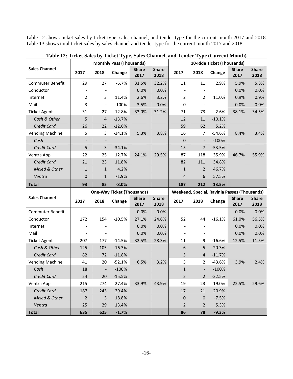Table 12 shows ticket sales by ticket type, sales channel, and tender type for the current month 2017 and 2018. Table 13 shows total ticket sales by sales channel and tender type for the current month 2017 and 2018.

|                         | <b>Monthly Pass (Thousands)</b> |                          |                                   |                      |                      | 10-Ride Ticket (Thousands) |                          |                                                     |                      |                      |
|-------------------------|---------------------------------|--------------------------|-----------------------------------|----------------------|----------------------|----------------------------|--------------------------|-----------------------------------------------------|----------------------|----------------------|
| <b>Sales Channel</b>    | 2017                            | 2018                     | Change                            | <b>Share</b><br>2017 | <b>Share</b><br>2018 | 2017                       | 2018                     | Change                                              | <b>Share</b><br>2017 | <b>Share</b><br>2018 |
| <b>Commuter Benefit</b> | 29                              | 27                       | $-5.7%$                           | 31.5%                | 32.2%                | 11                         | 11                       | 2.9%                                                | 5.9%                 | 5.3%                 |
| Conductor               |                                 |                          |                                   | 0.0%                 | 0.0%                 |                            | $\overline{\phantom{a}}$ |                                                     | 0.0%                 | 0.0%                 |
| Internet                | 2                               | 3                        | 11.4%                             | 2.6%                 | 3.2%                 | $\overline{2}$             | 2                        | 11.0%                                               | 0.9%                 | 0.9%                 |
| Mail                    | 3                               | $\overline{\phantom{a}}$ | $-100%$                           | 3.5%                 | 0.0%                 | 0                          | $\overline{\phantom{a}}$ |                                                     | 0.0%                 | 0.0%                 |
| <b>Ticket Agent</b>     | 31                              | 27                       | $-12.8%$                          | 33.0%                | 31.2%                | 71                         | 73                       | 2.6%                                                | 38.1%                | 34.5%                |
| Cash & Other            | 5                               | $\overline{4}$           | $-13.7%$                          |                      |                      | 12                         | 11                       | $-10.1%$                                            |                      |                      |
| Credit Card             | 26                              | 22                       | $-12.6%$                          |                      |                      | 59                         | 62                       | 5.2%                                                |                      |                      |
| <b>Vending Machine</b>  | 5                               | 3                        | $-34.1%$                          | 5.3%                 | 3.8%                 | 16                         | $\overline{7}$           | $-54.6%$                                            | 8.4%                 | 3.4%                 |
| Cash                    |                                 |                          |                                   |                      |                      | 0                          | $\overline{\phantom{a}}$ | $-100%$                                             |                      |                      |
| Credit Card             | 5                               | 3                        | $-34.1%$                          |                      |                      | 15                         | $\overline{7}$           | $-53.5%$                                            |                      |                      |
| Ventra App              | 22                              | 25                       | 12.7%                             | 24.1%                | 29.5%                | 87                         | 118                      | 35.9%                                               | 46.7%                | 55.9%                |
| Credit Card             | 21                              | 23                       | 11.8%                             |                      |                      | 82                         | 111                      | 34.8%                                               |                      |                      |
| Mixed & Other           | $\mathbf{1}$                    | $\mathbf{1}$             | 4.2%                              |                      |                      | $\mathbf{1}$               | $\overline{2}$           | 46.7%                                               |                      |                      |
| Ventra                  | $\overline{0}$                  | $\mathbf{1}$             | 71.9%                             |                      |                      | 4                          | 6                        | 57.5%                                               |                      |                      |
| <b>Total</b>            | 93                              | 85                       | $-8.0%$                           |                      |                      | 187                        | 212                      | 13.5%                                               |                      |                      |
|                         |                                 |                          |                                   |                      |                      |                            |                          |                                                     |                      |                      |
|                         |                                 |                          | <b>One-Way Ticket (Thousands)</b> |                      |                      |                            |                          | <b>Weekend, Special, Ravinia Passes (Thousands)</b> |                      |                      |
| <b>Sales Channel</b>    | 2017                            | 2018                     | Change                            | <b>Share</b><br>2017 | <b>Share</b><br>2018 | 2017                       | 2018                     | Change                                              | <b>Share</b><br>2017 | <b>Share</b><br>2018 |
| <b>Commuter Benefit</b> | $\overline{\phantom{a}}$        |                          |                                   | 0.0%                 | 0.0%                 | $\overline{\phantom{a}}$   |                          |                                                     | 0.0%                 | 0.0%                 |
| Conductor               | 172                             | 154                      | $-10.5%$                          | 27.1%                | 24.6%                | 52                         | 44                       | $-16.1%$                                            | 61.0%                | 56.5%                |
| Internet                |                                 |                          |                                   | 0.0%                 | 0.0%                 | $\blacksquare$             | $\overline{\phantom{a}}$ |                                                     | 0.0%                 | 0.0%                 |
| Mail                    | $\overline{\phantom{a}}$        |                          |                                   | 0.0%                 | 0.0%                 | $\overline{\phantom{a}}$   | $\overline{\phantom{a}}$ |                                                     | 0.0%                 | 0.0%                 |
| <b>Ticket Agent</b>     | 207                             | 177                      | $-14.5%$                          | 32.5%                | 28.3%                | 11                         | 9                        | $-16.6%$                                            | 12.5%                | 11.5%                |
| Cash & Other            | 125                             | 105                      | $-16.3%$                          |                      |                      | 6                          | 5                        | $-20.3%$                                            |                      |                      |
| Credit Card             | 82                              | 72                       | $-11.8%$                          |                      |                      | 5                          | 4                        | $-11.7%$                                            |                      |                      |
| <b>Vending Machine</b>  | 41                              | 20                       | $-52.1%$                          | 6.5%                 | 3.2%                 | 3                          | $\overline{2}$           | $-43.6%$                                            | 3.9%                 | 2.4%                 |
| Cash                    | 18                              | $\overline{\phantom{a}}$ | $-100%$                           |                      |                      | $\mathbf{1}$               | $\overline{\phantom{a}}$ | $-100%$                                             |                      |                      |
| Credit Card             | 24                              | $20\,$                   | $-15.5%$                          |                      |                      | $\overline{2}$             | $\overline{2}$           | $-22.5%$                                            |                      |                      |
| Ventra App              | 215                             | 274                      | 27.4%                             | 33.9%                | 43.9%                | 19                         | 23                       | 19.0%                                               | 22.5%                | 29.6%                |
| Credit Card             | 187                             | 243                      | 29.4%                             |                      |                      | 17                         | 21                       | 20.9%                                               |                      |                      |
| Mixed & Other           | $\overline{2}$                  | 3                        | 18.8%                             |                      |                      | 0                          | $\mathbf 0$              | $-7.5%$                                             |                      |                      |
| Ventra                  | 25                              | 29                       | 13.4%                             |                      |                      | 2                          | 2                        | 5.3%                                                |                      |                      |

**Table 12: Ticket Sales by Ticket Type, Sales Channel, and Tender Type (Current Month)**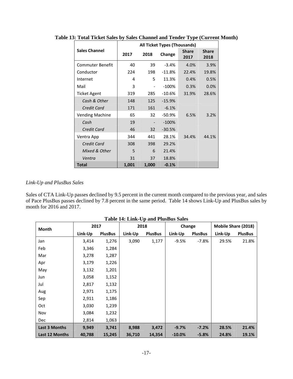|                         |       | <b>All Ticket Types (Thousands)</b> |          |                      |                      |  |  |  |  |  |
|-------------------------|-------|-------------------------------------|----------|----------------------|----------------------|--|--|--|--|--|
| <b>Sales Channel</b>    | 2017  | 2018                                | Change   | <b>Share</b><br>2017 | <b>Share</b><br>2018 |  |  |  |  |  |
| <b>Commuter Benefit</b> | 40    | 39                                  | $-3.4%$  | 4.0%                 | 3.9%                 |  |  |  |  |  |
| Conductor               | 224   | 198                                 | $-11.8%$ | 22.4%                | 19.8%                |  |  |  |  |  |
| Internet                | 4     | 5                                   | 11.3%    | 0.4%                 | 0.5%                 |  |  |  |  |  |
| Mail                    | 3     |                                     | $-100%$  | 0.3%                 | 0.0%                 |  |  |  |  |  |
| Ticket Agent            | 319   | 285                                 | $-10.6%$ | 31.9%                | 28.6%                |  |  |  |  |  |
| Cash & Other            | 148   | 125                                 | $-15.9%$ |                      |                      |  |  |  |  |  |
| Credit Card             | 171   | 161                                 | $-6.1%$  |                      |                      |  |  |  |  |  |
| <b>Vending Machine</b>  | 65    | 32                                  | -50.9%   | 6.5%                 | 3.2%                 |  |  |  |  |  |
| Cash                    | 19    |                                     | $-100\%$ |                      |                      |  |  |  |  |  |
| Credit Card             | 46    | 32                                  | $-30.5%$ |                      |                      |  |  |  |  |  |
| Ventra App              | 344   | 441                                 | 28.1%    | 34.4%                | 44.1%                |  |  |  |  |  |
| Credit Card             | 308   | 398                                 | 29.2%    |                      |                      |  |  |  |  |  |
| Mixed & Other           | 5     | 6                                   | 21.4%    |                      |                      |  |  |  |  |  |
| Ventra                  | 31    | 37                                  | 18.8%    |                      |                      |  |  |  |  |  |
| Total                   | 1,001 | 1,000                               | $-0.1%$  |                      |                      |  |  |  |  |  |

**Table 13: Total Ticket Sales by Sales Channel and Tender Type (Current Month)** 

## *Link-Up and PlusBus Sales*

Sales of CTA Link-Up passes declined by 9.5 percent in the current month compared to the previous year, and sales of Pace PlusBus passes declined by 7.8 percent in the same period. Table 14 shows Link-Up and PlusBus sales by month for 2016 and 2017.

| Month                | 2017    |                | 2018    |                | Change   |                | Mobile Share (2018) |                |
|----------------------|---------|----------------|---------|----------------|----------|----------------|---------------------|----------------|
|                      | Link-Up | <b>PlusBus</b> | Link-Up | <b>PlusBus</b> | Link-Up  | <b>PlusBus</b> | Link-Up             | <b>PlusBus</b> |
| Jan                  | 3,414   | 1,276          | 3,090   | 1,177          | $-9.5%$  | $-7.8%$        | 29.5%               | 21.8%          |
| Feb                  | 3,346   | 1,284          |         |                |          |                |                     |                |
| Mar                  | 3,278   | 1,287          |         |                |          |                |                     |                |
| Apr                  | 3,179   | 1,226          |         |                |          |                |                     |                |
| May                  | 3,132   | 1,201          |         |                |          |                |                     |                |
| Jun                  | 3,058   | 1,152          |         |                |          |                |                     |                |
| Jul                  | 2,817   | 1,132          |         |                |          |                |                     |                |
| Aug                  | 2,971   | 1,175          |         |                |          |                |                     |                |
| Sep                  | 2,911   | 1,186          |         |                |          |                |                     |                |
| Oct                  | 3,030   | 1,239          |         |                |          |                |                     |                |
| Nov                  | 3,084   | 1,232          |         |                |          |                |                     |                |
| <b>Dec</b>           | 2,814   | 1,063          |         |                |          |                |                     |                |
| <b>Last 3 Months</b> | 9,949   | 3,741          | 8,988   | 3,472          | $-9.7%$  | $-7.2%$        | 28.5%               | 21.4%          |
| Last 12 Months       | 40,788  | 15,245         | 36,710  | 14,354         | $-10.0%$ | $-5.8%$        | 24.8%               | 19.1%          |

**Table 14: Link-Up and PlusBus Sales**